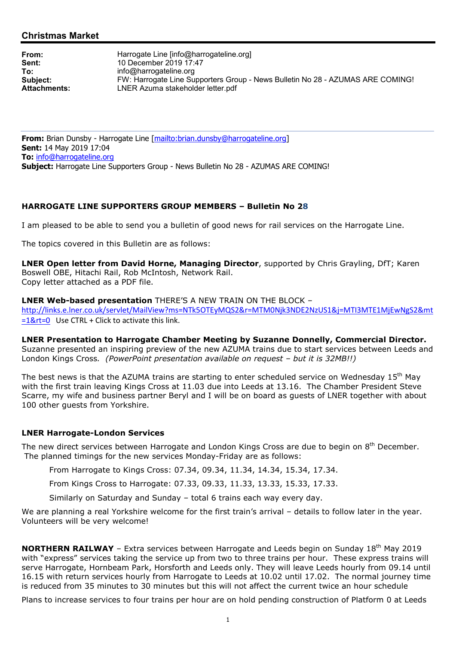## **Christmas Market**

**From:** Harrogate Line [info@harrogateline.org]<br> **Sent:** 10 December 2019 17:47 **Sent:** 10 December 2019 17:47<br> **To:** info@harrogateline.org **To:** info@harrogateline.org<br> **Subject:** FW: Harrogate Line Su **Subject:** FW: Harrogate Line Supporters Group - News Bulletin No 28 - AZUMAS ARE COMING!<br> **Attachments:** LNER Azuma stakeholder letter.pdf **Attachments:** LNER Azuma stakeholder letter.pdf

**From:** Brian Dunsby - Harrogate Line [mailto:brian.dunsby@harrogateline.org] **Sent:** 14 May 2019 17:04 **To:** info@harrogateline.org **Subject:** Harrogate Line Supporters Group - News Bulletin No 28 - AZUMAS ARE COMING!

## **HARROGATE LINE SUPPORTERS GROUP MEMBERS – Bulletin No 28**

I am pleased to be able to send you a bulletin of good news for rail services on the Harrogate Line.

The topics covered in this Bulletin are as follows:

**LNER Open letter from David Horne, Managing Director**, supported by Chris Grayling, DfT; Karen Boswell OBE, Hitachi Rail, Rob McIntosh, Network Rail. Copy letter attached as a PDF file.

**LNER Web-based presentation** THERE'S A NEW TRAIN ON THE BLOCK –

http://links.e.lner.co.uk/servlet/MailView?ms=NTk5OTEyMQS2&r=MTM0Njk3NDE2NzUS1&j=MTI3MTE1MjEwNgS2&mt  $=18$ rt=0 Use CTRL + Click to activate this link.

**LNER Presentation to Harrogate Chamber Meeting by Suzanne Donnelly, Commercial Director.**  Suzanne presented an inspiring preview of the new AZUMA trains due to start services between Leeds and London Kings Cross*. (PowerPoint presentation available on request – but it is 32MB!!)* 

The best news is that the AZUMA trains are starting to enter scheduled service on Wednesday 15<sup>th</sup> May with the first train leaving Kings Cross at 11.03 due into Leeds at 13.16. The Chamber President Steve Scarre, my wife and business partner Beryl and I will be on board as guests of LNER together with about 100 other guests from Yorkshire.

## **LNER Harrogate-London Services**

The new direct services between Harrogate and London Kings Cross are due to begin on 8<sup>th</sup> December. The planned timings for the new services Monday-Friday are as follows:

From Harrogate to Kings Cross: 07.34, 09.34, 11.34, 14.34, 15.34, 17.34.

From Kings Cross to Harrogate: 07.33, 09.33, 11.33, 13.33, 15.33, 17.33.

Similarly on Saturday and Sunday – total 6 trains each way every day.

We are planning a real Yorkshire welcome for the first train's arrival – details to follow later in the year. Volunteers will be very welcome!

**NORTHERN RAILWAY** – Extra services between Harrogate and Leeds begin on Sunday 18<sup>th</sup> May 2019 with "express" services taking the service up from two to three trains per hour. These express trains will serve Harrogate, Hornbeam Park, Horsforth and Leeds only. They will leave Leeds hourly from 09.14 until 16.15 with return services hourly from Harrogate to Leeds at 10.02 until 17.02. The normal journey time is reduced from 35 minutes to 30 minutes but this will not affect the current twice an hour schedule

Plans to increase services to four trains per hour are on hold pending construction of Platform 0 at Leeds